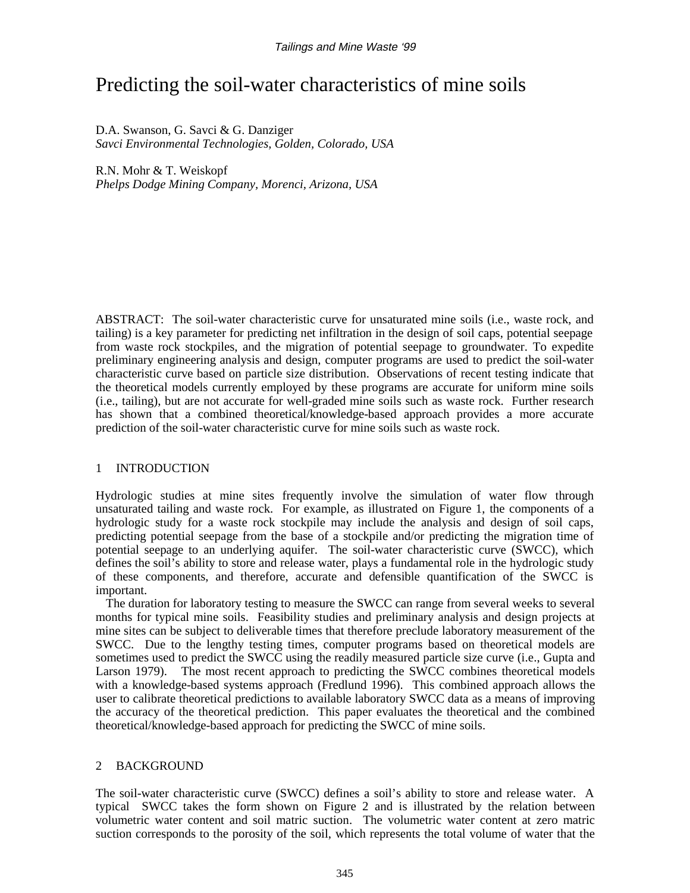# Predicting the soil-water characteristics of mine soils

D.A. Swanson, G. Savci & G. Danziger *Savci Environmental Technologies, Golden, Colorado, USA*

R.N. Mohr & T. Weiskopf *Phelps Dodge Mining Company, Morenci, Arizona, USA*

ABSTRACT: The soil-water characteristic curve for unsaturated mine soils (i.e., waste rock, and tailing) is a key parameter for predicting net infiltration in the design of soil caps, potential seepage from waste rock stockpiles, and the migration of potential seepage to groundwater. To expedite preliminary engineering analysis and design, computer programs are used to predict the soil-water characteristic curve based on particle size distribution. Observations of recent testing indicate that the theoretical models currently employed by these programs are accurate for uniform mine soils (i.e., tailing), but are not accurate for well-graded mine soils such as waste rock. Further research has shown that a combined theoretical/knowledge-based approach provides a more accurate prediction of the soil-water characteristic curve for mine soils such as waste rock.

# 1 INTRODUCTION

Hydrologic studies at mine sites frequently involve the simulation of water flow through unsaturated tailing and waste rock. For example, as illustrated on Figure 1, the components of a hydrologic study for a waste rock stockpile may include the analysis and design of soil caps, predicting potential seepage from the base of a stockpile and/or predicting the migration time of potential seepage to an underlying aquifer. The soil-water characteristic curve (SWCC), which defines the soil's ability to store and release water, plays a fundamental role in the hydrologic study of these components, and therefore, accurate and defensible quantification of the SWCC is important.

The duration for laboratory testing to measure the SWCC can range from several weeks to several months for typical mine soils. Feasibility studies and preliminary analysis and design projects at mine sites can be subject to deliverable times that therefore preclude laboratory measurement of the SWCC. Due to the lengthy testing times, computer programs based on theoretical models are sometimes used to predict the SWCC using the readily measured particle size curve (i.e., Gupta and Larson 1979). The most recent approach to predicting the SWCC combines theoretical models with a knowledge-based systems approach (Fredlund 1996). This combined approach allows the user to calibrate theoretical predictions to available laboratory SWCC data as a means of improving the accuracy of the theoretical prediction. This paper evaluates the theoretical and the combined theoretical/knowledge-based approach for predicting the SWCC of mine soils.

# 2 BACKGROUND

The soil-water characteristic curve (SWCC) defines a soil's ability to store and release water. A typical SWCC takes the form shown on Figure 2 and is illustrated by the relation between volumetric water content and soil matric suction. The volumetric water content at zero matric suction corresponds to the porosity of the soil, which represents the total volume of water that the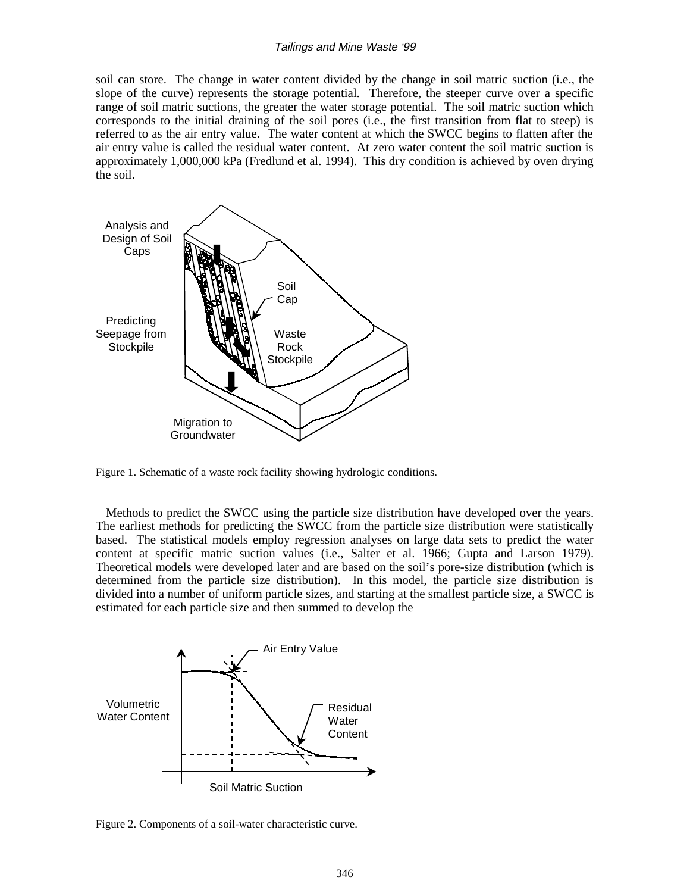#### Tailings and Mine Waste '99

soil can store. The change in water content divided by the change in soil matric suction (i.e., the slope of the curve) represents the storage potential. Therefore, the steeper curve over a specific range of soil matric suctions, the greater the water storage potential. The soil matric suction which corresponds to the initial draining of the soil pores (i.e., the first transition from flat to steep) is referred to as the air entry value. The water content at which the SWCC begins to flatten after the air entry value is called the residual water content. At zero water content the soil matric suction is approximately 1,000,000 kPa (Fredlund et al. 1994). This dry condition is achieved by oven drying the soil.



Figure 1. Schematic of a waste rock facility showing hydrologic conditions.

Methods to predict the SWCC using the particle size distribution have developed over the years. The earliest methods for predicting the SWCC from the particle size distribution were statistically based. The statistical models employ regression analyses on large data sets to predict the water content at specific matric suction values (i.e., Salter et al. 1966; Gupta and Larson 1979). Theoretical models were developed later and are based on the soil's pore-size distribution (which is determined from the particle size distribution). In this model, the particle size distribution is divided into a number of uniform particle sizes, and starting at the smallest particle size, a SWCC is estimated for each particle size and then summed to develop the



Figure 2. Components of a soil-water characteristic curve.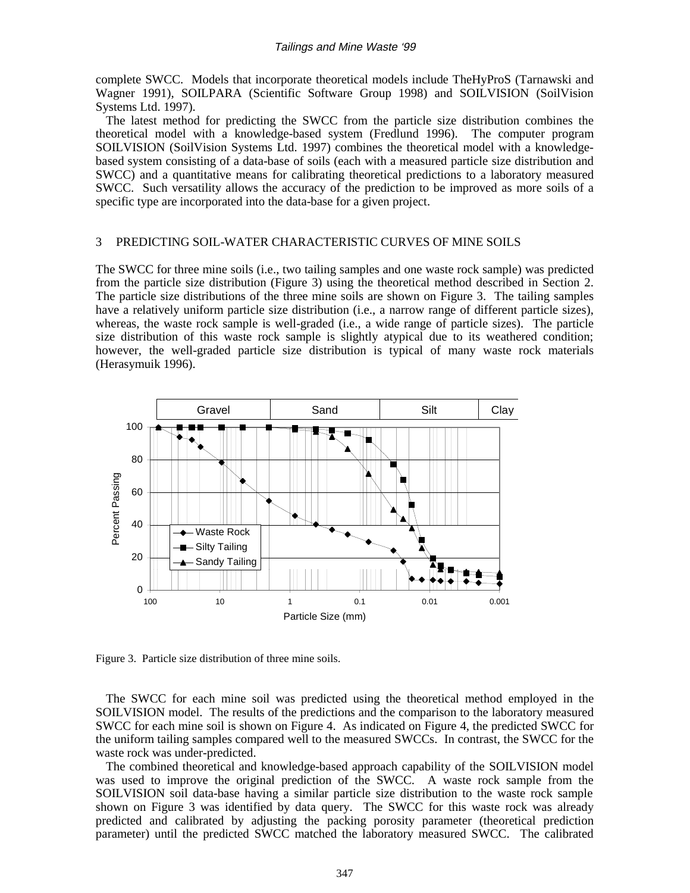#### Tailings and Mine Waste '99

complete SWCC. Models that incorporate theoretical models include TheHyProS (Tarnawski and Wagner 1991), SOILPARA (Scientific Software Group 1998) and SOILVISION (SoilVision Systems Ltd. 1997).

The latest method for predicting the SWCC from the particle size distribution combines the theoretical model with a knowledge-based system (Fredlund 1996). The computer program SOILVISION (SoilVision Systems Ltd. 1997) combines the theoretical model with a knowledgebased system consisting of a data-base of soils (each with a measured particle size distribution and SWCC) and a quantitative means for calibrating theoretical predictions to a laboratory measured SWCC. Such versatility allows the accuracy of the prediction to be improved as more soils of a specific type are incorporated into the data-base for a given project.

## 3 PREDICTING SOIL-WATER CHARACTERISTIC CURVES OF MINE SOILS

The SWCC for three mine soils (i.e., two tailing samples and one waste rock sample) was predicted from the particle size distribution (Figure 3) using the theoretical method described in Section 2. The particle size distributions of the three mine soils are shown on Figure 3. The tailing samples have a relatively uniform particle size distribution (i.e., a narrow range of different particle sizes), whereas, the waste rock sample is well-graded (i.e., a wide range of particle sizes). The particle size distribution of this waste rock sample is slightly atypical due to its weathered condition; however, the well-graded particle size distribution is typical of many waste rock materials (Herasymuik 1996).



Figure 3. Particle size distribution of three mine soils.

The SWCC for each mine soil was predicted using the theoretical method employed in the SOILVISION model. The results of the predictions and the comparison to the laboratory measured SWCC for each mine soil is shown on Figure 4. As indicated on Figure 4, the predicted SWCC for the uniform tailing samples compared well to the measured SWCCs. In contrast, the SWCC for the waste rock was under-predicted.

The combined theoretical and knowledge-based approach capability of the SOILVISION model was used to improve the original prediction of the SWCC. A waste rock sample from the SOILVISION soil data-base having a similar particle size distribution to the waste rock sample shown on Figure 3 was identified by data query. The SWCC for this waste rock was already predicted and calibrated by adjusting the packing porosity parameter (theoretical prediction parameter) until the predicted SWCC matched the laboratory measured SWCC. The calibrated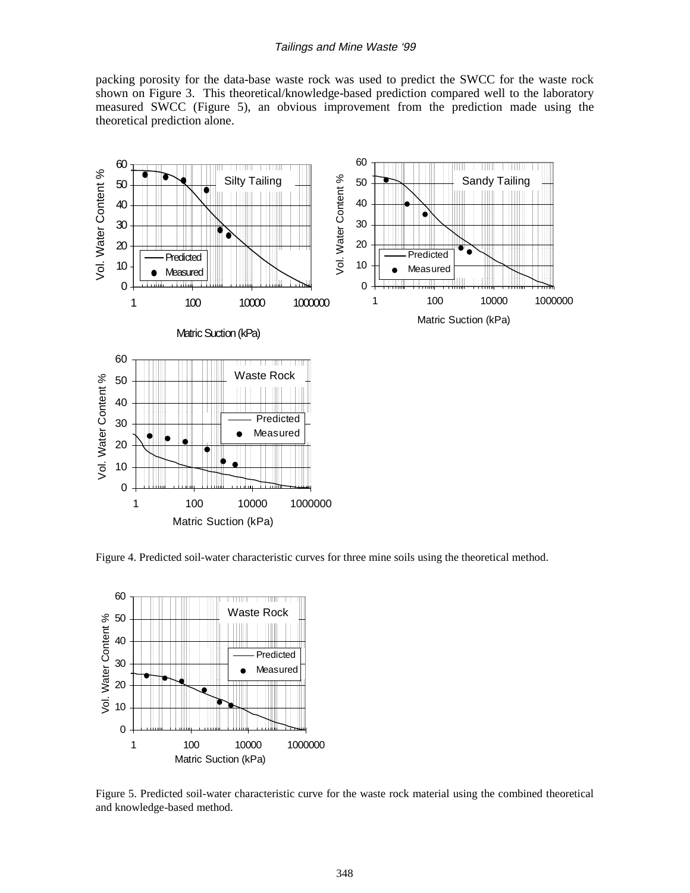#### Tailings and Mine Waste '99

packing porosity for the data-base waste rock was used to predict the SWCC for the waste rock shown on Figure 3. This theoretical/knowledge-based prediction compared well to the laboratory measured SWCC (Figure 5), an obvious improvement from the prediction made using the theoretical prediction alone.



Figure 4. Predicted soil-water characteristic curves for three mine soils using the theoretical method.



Figure 5. Predicted soil-water characteristic curve for the waste rock material using the combined theoretical and knowledge-based method.